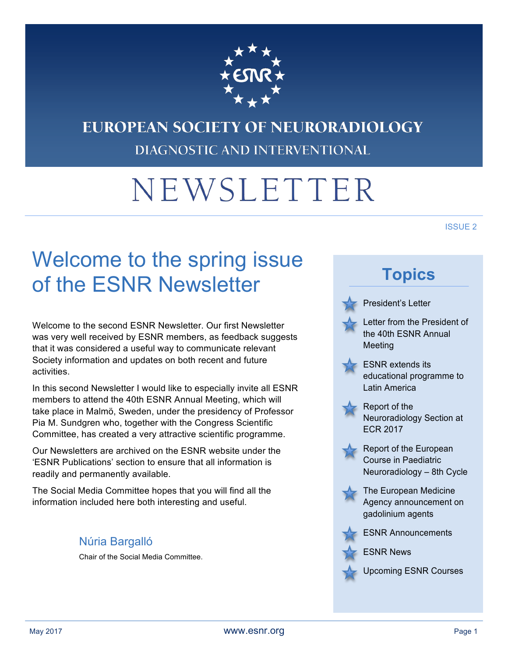

### EUROPEAN SOCIETY OF NEURORADIOLOGY DIAGNOSTIC AND INTERVENTIONAL

# NEWSLETTER

#### ISSUE 2

# Welcome to the spring issue of the ESNR Newsletter

Welcome to the second ESNR Newsletter. Our first Newsletter was very well received by ESNR members, as feedback suggests that it was considered a useful way to communicate relevant Society information and updates on both recent and future activities.

In this second Newsletter I would like to especially invite all ESNR members to attend the 40th ESNR Annual Meeting, which will take place in Malmö, Sweden, under the presidency of Professor Pia M. Sundgren who, together with the Congress Scientific Committee, has created a very attractive scientific programme.

Our Newsletters are archived on the ESNR website under the 'ESNR Publications' section to ensure that all information is readily and permanently available.

The Social Media Committee hopes that you will find all the information included here both interesting and useful.

### Núria Bargalló

Chair of the Social Media Committee.

### **Topics**

President's Letter



Letter from the President of the 40th ESNR Annual Meeting



ESNR extends its educational programme to Latin America



Report of the Neuroradiology Section at ECR 2017





The European Medicine Agency announcement on gadolinium agents



ESNR Announcements

ESNR News

Upcoming ESNR Courses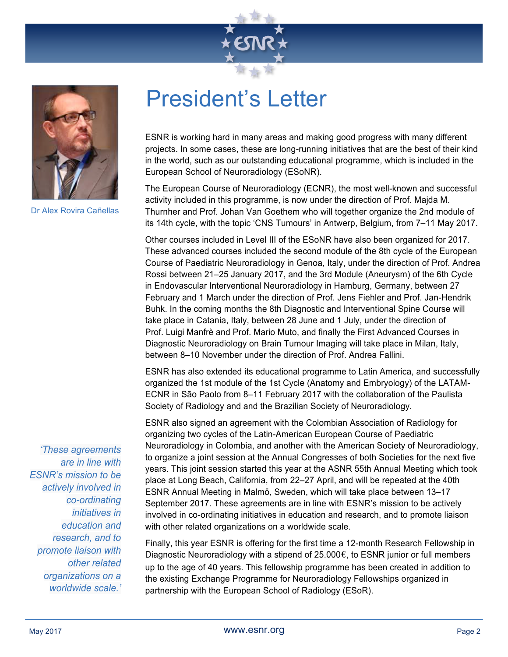



Dr Alex Rovira Cañellas

## President's Letter

ESNR is working hard in many areas and making good progress with many different projects. In some cases, these are long-running initiatives that are the best of their kind in the world, such as our outstanding educational programme, which is included in the European School of Neuroradiology (ESoNR).

The European Course of Neuroradiology (ECNR), the most well-known and successful activity included in this programme, is now under the direction of Prof. Majda M. Thurnher and Prof. Johan Van Goethem who will together organize the 2nd module of its 14th cycle, with the topic 'CNS Tumours' in Antwerp, Belgium, from 7–11 May 2017.

Other courses included in Level III of the ESoNR have also been organized for 2017. These advanced courses included the second module of the 8th cycle of the European Course of Paediatric Neuroradiology in Genoa, Italy, under the direction of Prof. Andrea Rossi between 21–25 January 2017, and the 3rd Module (Aneurysm) of the 6th Cycle in Endovascular Interventional Neuroradiology in Hamburg, Germany, between 27 February and 1 March under the direction of Prof. Jens Fiehler and Prof. Jan-Hendrik Buhk. In the coming months the 8th Diagnostic and Interventional Spine Course will take place in Catania, Italy, between 28 June and 1 July, under the direction of Prof. Luigi Manfrè and Prof. Mario Muto, and finally the First Advanced Courses in Diagnostic Neuroradiology on Brain Tumour Imaging will take place in Milan, Italy, between 8–10 November under the direction of Prof. Andrea Fallini.

ESNR has also extended its educational programme to Latin America, and successfully organized the 1st module of the 1st Cycle (Anatomy and Embryology) of the LATAM-ECNR in São Paolo from 8–11 February 2017 with the collaboration of the Paulista Society of Radiology and and the Brazilian Society of Neuroradiology.

ESNR also signed an agreement with the Colombian Association of Radiology for organizing two cycles of the Latin-American European Course of Paediatric Neuroradiology in Colombia, and another with the American Society of Neuroradiology, to organize a joint session at the Annual Congresses of both Societies for the next five years. This joint session started this year at the ASNR 55th Annual Meeting which took place at Long Beach, California, from 22–27 April, and will be repeated at the 40th ESNR Annual Meeting in Malmö, Sweden, which will take place between 13–17 September 2017. These agreements are in line with ESNR's mission to be actively involved in co-ordinating initiatives in education and research, and to promote liaison with other related organizations on a worldwide scale.

Finally, this year ESNR is offering for the first time a 12-month Research Fellowship in Diagnostic Neuroradiology with a stipend of 25.000 $\epsilon$ , to ESNR junior or full members up to the age of 40 years. This fellowship programme has been created in addition to the existing Exchange Programme for Neuroradiology Fellowships organized in partnership with the European School of Radiology (ESoR).

*'These agreements are in line with ESNR's mission to be actively involved in co-ordinating initiatives in education and research, and to promote liaison with other related organizations on a worldwide scale.'*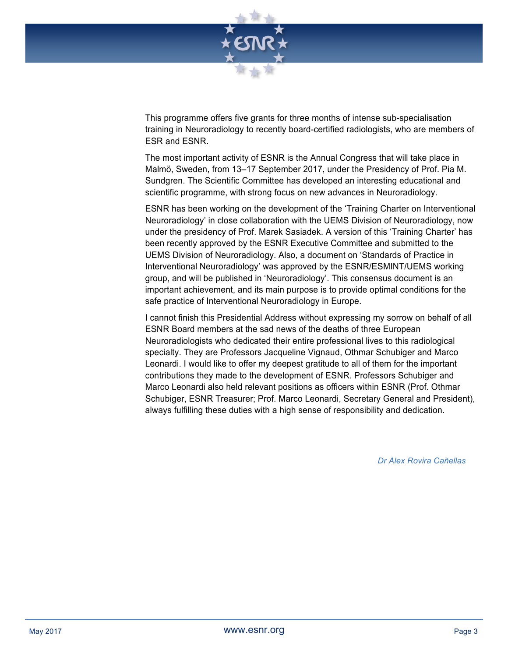

This programme offers five grants for three months of intense sub-specialisation training in Neuroradiology to recently board-certified radiologists, who are members of ESR and ESNR.

The most important activity of ESNR is the Annual Congress that will take place in Malmö, Sweden, from 13–17 September 2017, under the Presidency of Prof. Pia M. Sundgren. The Scientific Committee has developed an interesting educational and scientific programme, with strong focus on new advances in Neuroradiology.

ESNR has been working on the development of the 'Training Charter on Interventional Neuroradiology' in close collaboration with the UEMS Division of Neuroradiology, now under the presidency of Prof. Marek Sasiadek. A version of this 'Training Charter' has been recently approved by the ESNR Executive Committee and submitted to the UEMS Division of Neuroradiology. Also, a document on 'Standards of Practice in Interventional Neuroradiology' was approved by the ESNR/ESMINT/UEMS working group, and will be published in 'Neuroradiology'. This consensus document is an important achievement, and its main purpose is to provide optimal conditions for the safe practice of Interventional Neuroradiology in Europe.

I cannot finish this Presidential Address without expressing my sorrow on behalf of all ESNR Board members at the sad news of the deaths of three European Neuroradiologists who dedicated their entire professional lives to this radiological specialty. They are Professors Jacqueline Vignaud, Othmar Schubiger and Marco Leonardi. I would like to offer my deepest gratitude to all of them for the important contributions they made to the development of ESNR. Professors Schubiger and Marco Leonardi also held relevant positions as officers within ESNR (Prof. Othmar Schubiger, ESNR Treasurer; Prof. Marco Leonardi, Secretary General and President), always fulfilling these duties with a high sense of responsibility and dedication.

*Dr Alex Rovira Cañellas*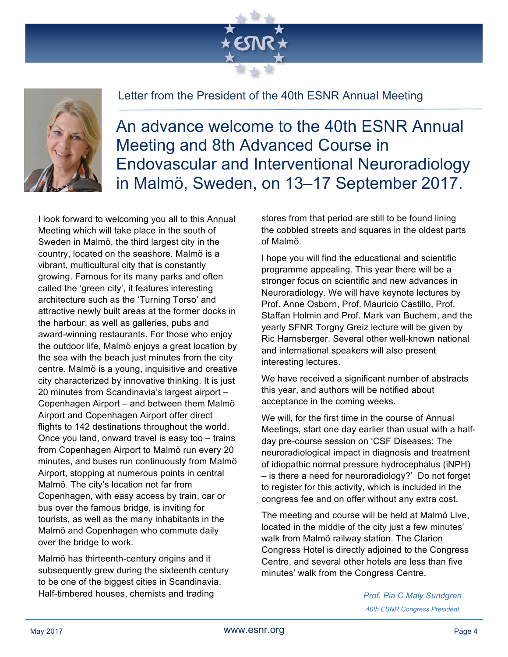



#### Letter from the President of the 40th ESNR Annual Meeting

An advance welcome to the 40th ESNR Annual Meeting and 8th Advanced Course in Endovascular and Interventional Neuroradiology in Malmö, Sweden, on 13–17 September 2017.

I look forward to welcoming you all to this Annual Meeting which will take place in the south of Sweden in Malmö, the third largest city in the country, located on the seashore. Malmö is a vibrant, multicultural city that is constantly growing. Famous for its many parks and often called the 'green city', it features interesting architecture such as the 'Turning Torso' and attractive newly built areas at the former docks in the harbour, as well as galleries, pubs and award-winning restaurants. For those who enjoy the outdoor life, Malmö enjoys a great location by the sea with the beach just minutes from the city centre. Malmö is a young, inquisitive and creative city characterized by innovative thinking. It is just 20 minutes from Scandinavia's largest airport – Copenhagen Airport – and between them Malmö Airport and Copenhagen Airport offer direct flights to 142 destinations throughout the world. Once you land, onward travel is easy too – trains from Copenhagen Airport to Malmö run every 20 minutes, and buses run continuously from Malmö Airport, stopping at numerous points in central Malmö. The city's location not far from Copenhagen, with easy access by train, car or bus over the famous bridge, is inviting for tourists, as well as the many inhabitants in the Malmö and Copenhagen who commute daily over the bridge to work.

Malmö has thirteenth-century origins and it subsequently grew during the sixteenth century to be one of the biggest cities in Scandinavia. Half-timbered houses, chemists and trading

stores from that period are still to be found lining the cobbled streets and squares in the oldest parts of Malmö.

I hope you will find the educational and scientific programme appealing. This year there will be a stronger focus on scientific and new advances in Neuroradiology. We will have keynote lectures by Prof. Anne Osborn, Prof. Mauricio Castillo, Prof. Staffan Holmin and Prof. Mark van Buchem, and the yearly SFNR Torgny Greiz lecture will be given by Ric Harnsberger. Several other well-known national and international speakers will also present interesting lectures.

We have received a significant number of abstracts this year, and authors will be notified about acceptance in the coming weeks.

We will, for the first time in the course of Annual Meetings, start one day earlier than usual with a halfday pre-course session on 'CSF Diseases: The neuroradiological impact in diagnosis and treatment of idiopathic normal pressure hydrocephalus (iNPH) – is there a need for neuroradiology?' Do not forget to register for this activity, which is included in the congress fee and on offer without any extra cost.

The meeting and course will be held at Malmö Live, located in the middle of the city just a few minutes' walk from Malmö railway station. The Clarion Congress Hotel is directly adjoined to the Congress Centre, and several other hotels are less than five minutes' walk from the Congress Centre.

> *Prof. Pia C Maly Sundgren 40th ESNR Congress President*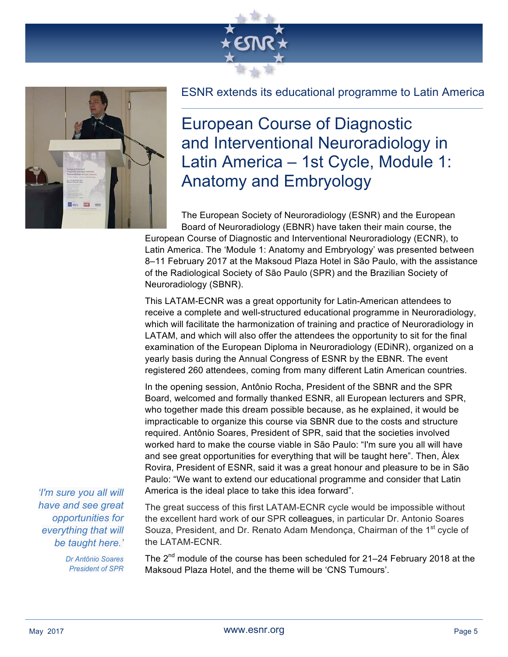



#### ESNR extends its educational programme to Latin America

European Course of Diagnostic and Interventional Neuroradiology in Latin America – 1st Cycle, Module 1: Anatomy and Embryology

The European Society of Neuroradiology (ESNR) and the European Board of Neuroradiology (EBNR) have taken their main course, the

European Course of Diagnostic and Interventional Neuroradiology (ECNR), to Latin America. The 'Module 1: Anatomy and Embryology' was presented between 8–11 February 2017 at the Maksoud Plaza Hotel in São Paulo, with the assistance of the Radiological Society of São Paulo (SPR) and the Brazilian Society of Neuroradiology (SBNR).

This LATAM-ECNR was a great opportunity for Latin-American attendees to receive a complete and well-structured educational programme in Neuroradiology, which will facilitate the harmonization of training and practice of Neuroradiology in LATAM, and which will also offer the attendees the opportunity to sit for the final examination of the European Diploma in Neuroradiology (EDiNR), organized on a yearly basis during the Annual Congress of ESNR by the EBNR. The event registered 260 attendees, coming from many different Latin American countries.

In the opening session, Antônio Rocha, President of the SBNR and the SPR Board, welcomed and formally thanked ESNR, all European lecturers and SPR, who together made this dream possible because, as he explained, it would be impracticable to organize this course via SBNR due to the costs and structure required. Antônio Soares, President of SPR, said that the societies involved worked hard to make the course viable in São Paulo: "I'm sure you all will have and see great opportunities for everything that will be taught here". Then, Àlex Rovira, President of ESNR, said it was a great honour and pleasure to be in São Paulo: "We want to extend our educational programme and consider that Latin America is the ideal place to take this idea forward".

*'I'm sure you all will have and see great opportunities for everything that will be taught here.'*

> *Dr Antônio Soares President of SPR*

The great success of this first LATAM-ECNR cycle would be impossible without the excellent hard work of our SPR colleagues, in particular Dr. Antonio Soares Souza, President, and Dr. Renato Adam Mendonca, Chairman of the 1<sup>st</sup> cycle of the LATAM-ECNR.

The 2<sup>nd</sup> module of the course has been scheduled for 21–24 February 2018 at the Maksoud Plaza Hotel, and the theme will be 'CNS Tumours'.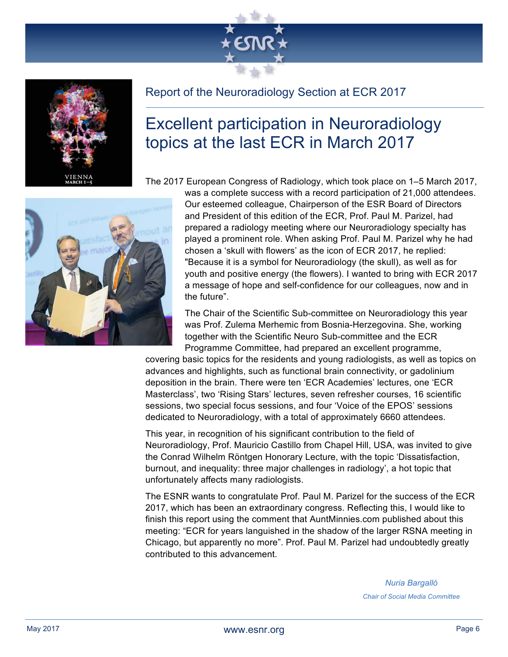



### Report of the Neuroradiology Section at ECR 2017

### Excellent participation in Neuroradiology topics at the last ECR in March 2017

The 2017 European Congress of Radiology, which took place on 1–5 March 2017,



was a complete success with a record participation of 21,000 attendees. Our esteemed colleague, Chairperson of the ESR Board of Directors and President of this edition of the ECR, Prof. Paul M. Parizel, had prepared a radiology meeting where our Neuroradiology specialty has played a prominent role. When asking Prof. Paul M. Parizel why he had chosen a 'skull with flowers' as the icon of ECR 2017, he replied: "Because it is a symbol for Neuroradiology (the skull), as well as for youth and positive energy (the flowers). I wanted to bring with ECR 2017 a message of hope and self-confidence for our colleagues, now and in the future".

The Chair of the Scientific Sub-committee on Neuroradiology this year was Prof. Zulema Merhemic from Bosnia-Herzegovina. She, working together with the Scientific Neuro Sub-committee and the ECR Programme Committee, had prepared an excellent programme,

covering basic topics for the residents and young radiologists, as well as topics on advances and highlights, such as functional brain connectivity, or gadolinium deposition in the brain. There were ten 'ECR Academies' lectures, one 'ECR Masterclass', two 'Rising Stars' lectures, seven refresher courses, 16 scientific sessions, two special focus sessions, and four 'Voice of the EPOS' sessions dedicated to Neuroradiology, with a total of approximately 6660 attendees.

This year, in recognition of his significant contribution to the field of Neuroradiology, Prof. Mauricio Castillo from Chapel Hill, USA, was invited to give the Conrad Wilhelm Röntgen Honorary Lecture, with the topic 'Dissatisfaction, burnout, and inequality: three major challenges in radiology', a hot topic that unfortunately affects many radiologists.

The ESNR wants to congratulate Prof. Paul M. Parizel for the success of the ECR 2017, which has been an extraordinary congress. Reflecting this, I would like to finish this report using the comment that AuntMinnies.com published about this meeting: "ECR for years languished in the shadow of the larger RSNA meeting in Chicago, but apparently no more". Prof. Paul M. Parizel had undoubtedly greatly contributed to this advancement.

> *Nuria Bargalló Chair of Social Media Committee*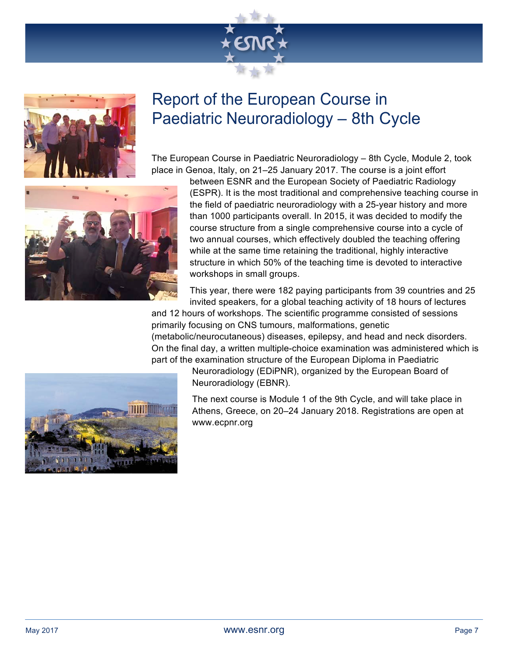



### Report of the European Course in Paediatric Neuroradiology – 8th Cycle

The European Course in Paediatric Neuroradiology – 8th Cycle, Module 2, took place in Genoa, Italy, on 21–25 January 2017. The course is a joint effort



between ESNR and the European Society of Paediatric Radiology (ESPR). It is the most traditional and comprehensive teaching course in the field of paediatric neuroradiology with a 25-year history and more than 1000 participants overall. In 2015, it was decided to modify the course structure from a single comprehensive course into a cycle of two annual courses, which effectively doubled the teaching offering while at the same time retaining the traditional, highly interactive structure in which 50% of the teaching time is devoted to interactive workshops in small groups.

This year, there were 182 paying participants from 39 countries and 25 invited speakers, for a global teaching activity of 18 hours of lectures

and 12 hours of workshops. The scientific programme consisted of sessions primarily focusing on CNS tumours, malformations, genetic (metabolic/neurocutaneous) diseases, epilepsy, and head and neck disorders. On the final day, a written multiple-choice examination was administered which is part of the examination structure of the European Diploma in Paediatric



Neuroradiology (EDiPNR), organized by the European Board of Neuroradiology (EBNR).

The next course is Module 1 of the 9th Cycle, and will take place in Athens, Greece, on 20–24 January 2018. Registrations are open at www.ecpnr.org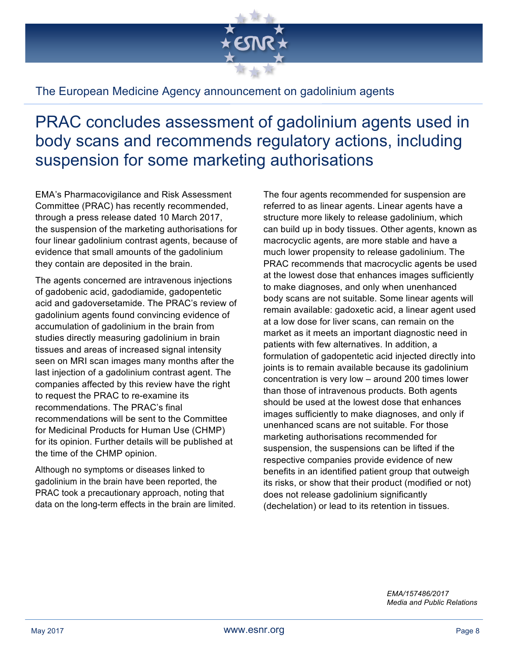

#### The European Medicine Agency announcement on gadolinium agents

### PRAC concludes assessment of gadolinium agents used in body scans and recommends regulatory actions, including suspension for some marketing authorisations

EMA's Pharmacovigilance and Risk Assessment Committee (PRAC) has recently recommended, through a press release dated 10 March 2017, the suspension of the marketing authorisations for four linear gadolinium contrast agents, because of evidence that small amounts of the gadolinium they contain are deposited in the brain.

The agents concerned are intravenous injections of gadobenic acid, gadodiamide, gadopentetic acid and gadoversetamide. The PRAC's review of gadolinium agents found convincing evidence of accumulation of gadolinium in the brain from studies directly measuring gadolinium in brain tissues and areas of increased signal intensity seen on MRI scan images many months after the last injection of a gadolinium contrast agent. The companies affected by this review have the right to request the PRAC to re-examine its recommendations. The PRAC's final recommendations will be sent to the Committee for Medicinal Products for Human Use (CHMP) for its opinion. Further details will be published at the time of the CHMP opinion.

Although no symptoms or diseases linked to gadolinium in the brain have been reported, the PRAC took a precautionary approach, noting that data on the long-term effects in the brain are limited.

The four agents recommended for suspension are referred to as linear agents. Linear agents have a structure more likely to release gadolinium, which can build up in body tissues. Other agents, known as macrocyclic agents, are more stable and have a much lower propensity to release gadolinium. The PRAC recommends that macrocyclic agents be used at the lowest dose that enhances images sufficiently to make diagnoses, and only when unenhanced body scans are not suitable. Some linear agents will remain available: gadoxetic acid, a linear agent used at a low dose for liver scans, can remain on the market as it meets an important diagnostic need in patients with few alternatives. In addition, a formulation of gadopentetic acid injected directly into joints is to remain available because its gadolinium concentration is very low – around 200 times lower than those of intravenous products. Both agents should be used at the lowest dose that enhances images sufficiently to make diagnoses, and only if unenhanced scans are not suitable. For those marketing authorisations recommended for suspension, the suspensions can be lifted if the respective companies provide evidence of new benefits in an identified patient group that outweigh its risks, or show that their product (modified or not) does not release gadolinium significantly (dechelation) or lead to its retention in tissues.

> *EMA/157486/2017 Media and Public Relations*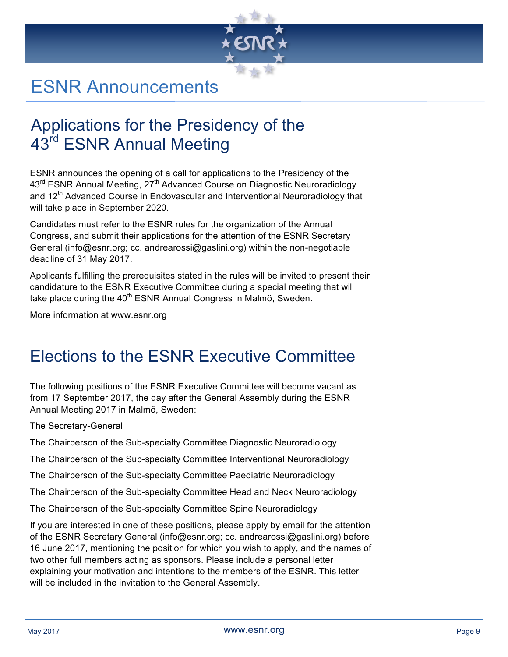

### ESNR Announcements

### Applications for the Presidency of the 43<sup>rd</sup> ESNR Annual Meeting

ESNR announces the opening of a call for applications to the Presidency of the 43<sup>rd</sup> ESNR Annual Meeting, 27<sup>th</sup> Advanced Course on Diagnostic Neuroradiology and 12<sup>th</sup> Advanced Course in Endovascular and Interventional Neuroradiology that will take place in September 2020.

Candidates must refer to the ESNR rules for the organization of the Annual Congress, and submit their applications for the attention of the ESNR Secretary General (info@esnr.org; cc. andrearossi@gaslini.org) within the non-negotiable deadline of 31 May 2017.

Applicants fulfilling the prerequisites stated in the rules will be invited to present their candidature to the ESNR Executive Committee during a special meeting that will take place during the  $40<sup>th</sup>$  ESNR Annual Congress in Malmö, Sweden.

More information at www.esnr.org

### Elections to the ESNR Executive Committee

The following positions of the ESNR Executive Committee will become vacant as from 17 September 2017, the day after the General Assembly during the ESNR Annual Meeting 2017 in Malmö, Sweden:

The Secretary-General

The Chairperson of the Sub-specialty Committee Diagnostic Neuroradiology

The Chairperson of the Sub-specialty Committee Interventional Neuroradiology

The Chairperson of the Sub-specialty Committee Paediatric Neuroradiology

The Chairperson of the Sub-specialty Committee Head and Neck Neuroradiology

The Chairperson of the Sub-specialty Committee Spine Neuroradiology

If you are interested in one of these positions, please apply by email for the attention of the ESNR Secretary General (info@esnr.org; cc. andrearossi@gaslini.org) before 16 June 2017, mentioning the position for which you wish to apply, and the names of two other full members acting as sponsors. Please include a personal letter explaining your motivation and intentions to the members of the ESNR. This letter will be included in the invitation to the General Assembly.